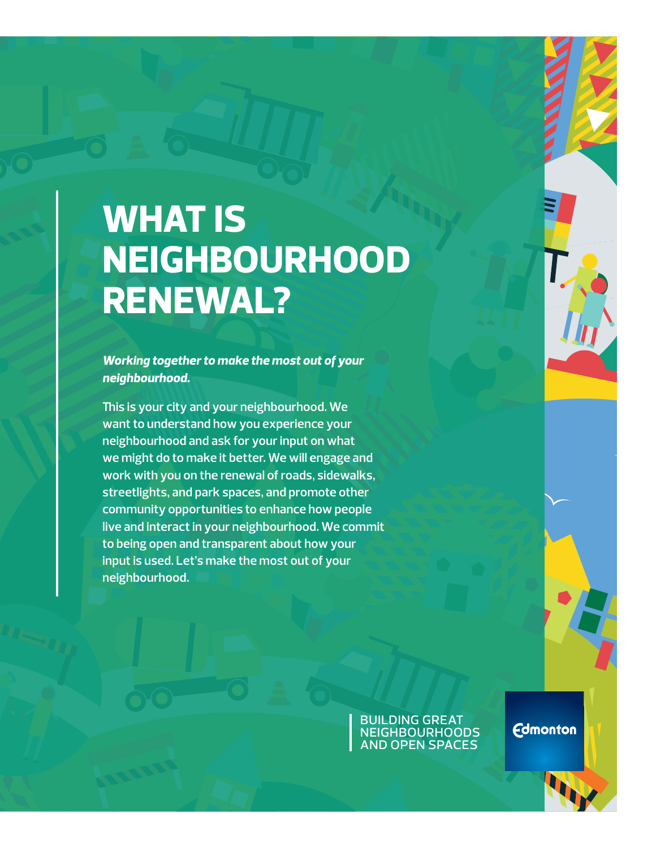# **WHAT IS NEIGHBOURHOOD RENEWAL?**

*Working together to make the most out of your neighbourhood.* 

**This is your city and your neighbourhood. We want to understand how you experience your neighbourhood and ask for your input on what we might do to make it better. We will engage and work with you on the renewal of roads, sidewalks, streetlights, and park spaces, and promote other community opportunities to enhance how people live and interact in your neighbourhood. We commit to being open and transparent about how your input is used. Let's make the most out of your neighbourhood.**

> building great **NEIGHBOURHOODS** and open spaces

**Edmonton**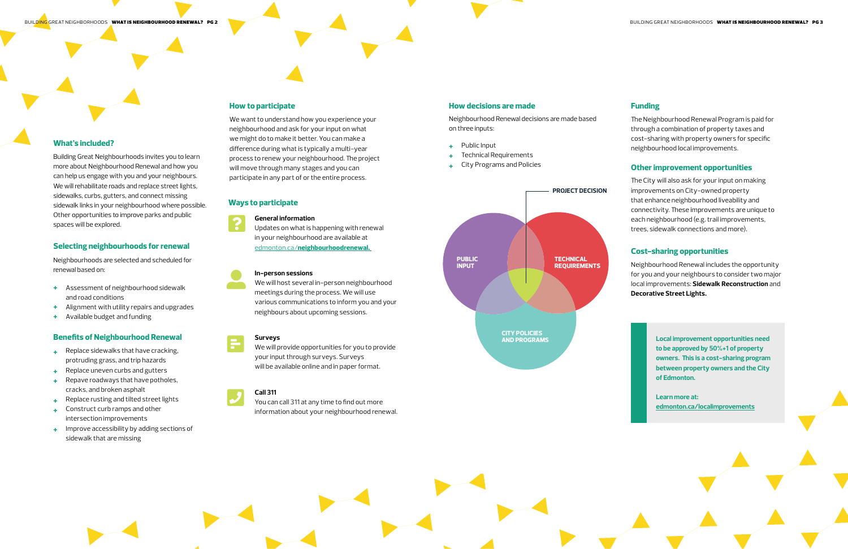# **What's included?**

Building Great Neighbourhoods invites you to learn more about Neighbourhood Renewal and how you can help us engage with you and your neighbours. We will rehabilitate roads and replace street lights, sidewalks, curbs, gutters, and connect missing sidewalk links in your neighbourhood where possible. Other opportunities to improve parks and public spaces will be explored.

# **Selecting neighbourhoods for renewal**

Neighbourhoods are selected and scheduled for renewal based on:

- **+** Assessment of neighbourhood sidewalk and road conditions
- **+** Alignment with utility repairs and upgrades
- **+** Available budget and funding

# **Benefits of Neighbourhood Renewal**

- **+** Replace sidewalks that have cracking, protruding grass, and trip hazards
- **+** Replace uneven curbs and gutters
- **+** Repave roadways that have potholes, cracks, and broken asphalt
- **+** Replace rusting and tilted street lights
- **+** Construct curb ramps and other intersection improvements
- **+** Improve accessibility by adding sections of sidewalk that are missing

# **Call 311**  $\boldsymbol{J}$

# **How to participate**

We want to understand how you experience your neighbourhood and ask for your input on what we might do to make it better. You can make a difference during what is typically a multi-year process to renew your neighbourhood. The project will move through many stages and you can participate in any part of or the entire process.

#### **General information**

Updates on what is happening with renewal in your neighbourhood are available at edmonton.ca/**[neighbourhoodrenewal.](http://www.edmonton.ca/neighbourhoodrenewal )**

We will host several in-person neighbourhood meetings during the process. We will use various communications to inform you and your neighbours about upcoming sessions.

#### **Surveys**

# **In-person sessions** user-alt



We will provide opportunities for you to provide your input through surveys. Surveys will be available online and in paper format.

You can call 311 at any time to find out more

information about your neighbourhood renewal.

# **Ways to participate**





# **How decisions are made**

Neighbourhood Renewal decisions are made based on three inputs:

- **+** Public Input
- **+** Technical Requirements
- **+** City Programs and Policies

## **Funding**

The Neighbourhood Renewal Program is paid for through a combination of property taxes and cost-sharing with property owners for specific neighbourhood local improvements.

## **Other improvement opportunities**

The City will also ask for your input on making improvements on City-owned property that enhance neighbourhood liveability and connectivity. These improvements are unique to each neighbourhood (e.g. trail improvements, trees, sidewalk connections and more).

## **Cost-sharing opportunities**

Neighbourhood Renewal includes the opportunity for you and your neighbours to consider two major local improvements: **Sidewalk Reconstruction** and **Decorative Street Lights.**

> **Local improvement opportunities need to be approved by 50%+1 of property owners. This is a cost-sharing program between property owners and the City of Edmonton.**

**Learn more at: edmonton.ca/[localimprovements](http://www.edmonton.ca/localimprovements)**